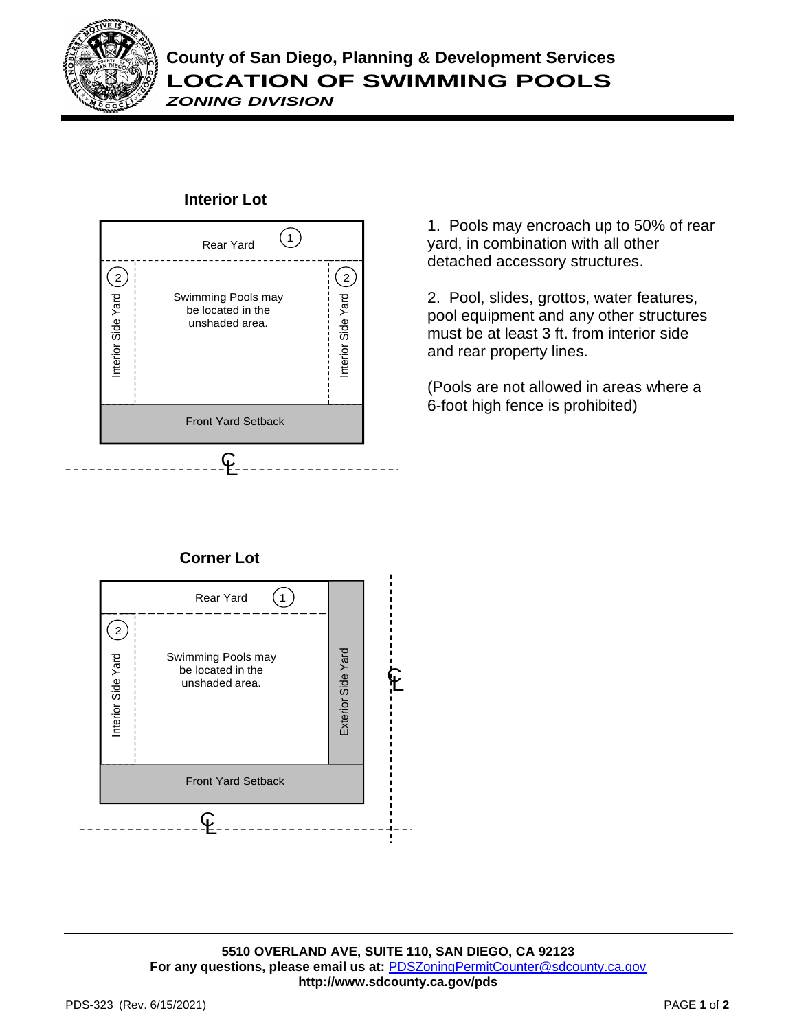

## **County of San Diego, Planning & Development Services LOCATION OF SWIMMING POOLS**

*ZONING DIVISION*



## **Interior Lot**

1. Pools may encroach up to 50% of rear yard, in combination with all other detached accessory structures.

2. Pool, slides, grottos, water features, pool equipment and any other structures must be at least 3 ft. from interior side and rear property lines.

(Pools are not allowed in areas where a 6-foot high fence is prohibited)

## **Corner Lot**



**5510 OVERLAND AVE, SUITE 110, SAN DIEGO, CA 92123 For any questions, please email us at:** [PDSZoningPermitCounter@sdcounty.ca.gov](mailto:PDSZoningPermitCounter@sdcounty.ca.gov) **<http://www.sdcounty.ca.gov/pds>**